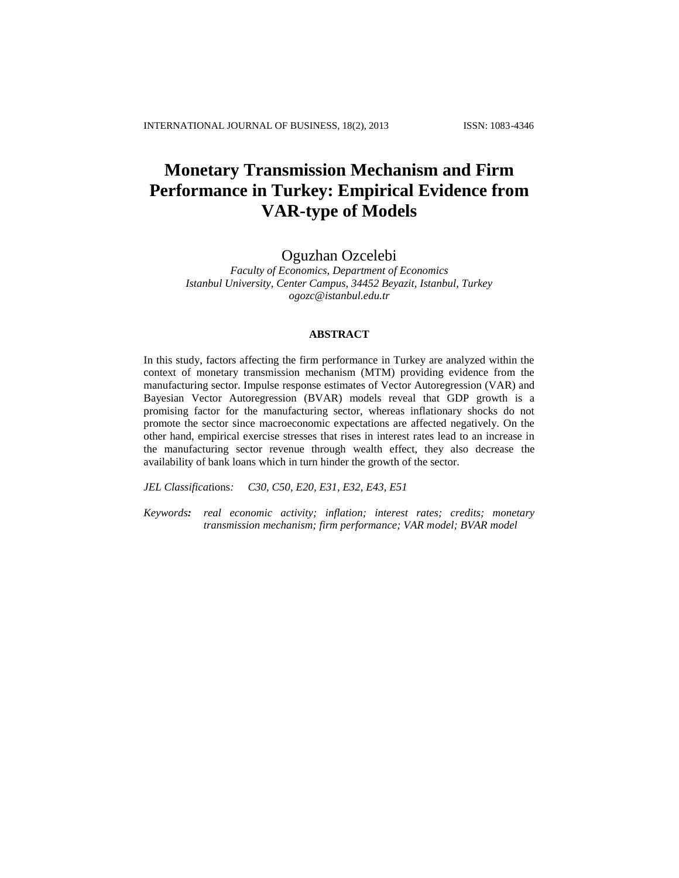# **Monetary Transmission Mechanism and Firm Performance in Turkey: Empirical Evidence from VAR-type of Models**

## Oguzhan Ozcelebi

*Faculty of Economics, Department of Economics Istanbul University, Center Campus, 34452 Beyazit, Istanbul, Turkey [ogozc@istanbul.edu.tr](mailto:ogozc@istanbul.edu.tr)*

## **ABSTRACT**

In this study, factors affecting the firm performance in Turkey are analyzed within the context of monetary transmission mechanism (MTM) providing evidence from the manufacturing sector. Impulse response estimates of [Vector](http://en.wikipedia.org/wiki/Vector) [Autoregression](http://en.wikipedia.org/wiki/Autoregression) (VAR) and Bayesian [Vector](http://en.wikipedia.org/wiki/Vector) [Autoregression](http://en.wikipedia.org/wiki/Autoregression) (BVAR) models reveal that GDP growth is a promising factor for the manufacturing sector, whereas inflationary shocks do not promote the sector since macroeconomic expectations are affected negatively. On the other hand, empirical exercise stresses that rises in interest rates lead to an increase in the manufacturing sector revenue through wealth effect, they also decrease the availability of bank loans which in turn hinder the growth of the sector.

*JEL Classificat*ions*: C30, C50, E20, E31, E32, E43, E51* 

*Keywords: real economic activity; inflation; interest rates; credits; monetary transmission mechanism; firm performance; VAR model; BVAR model*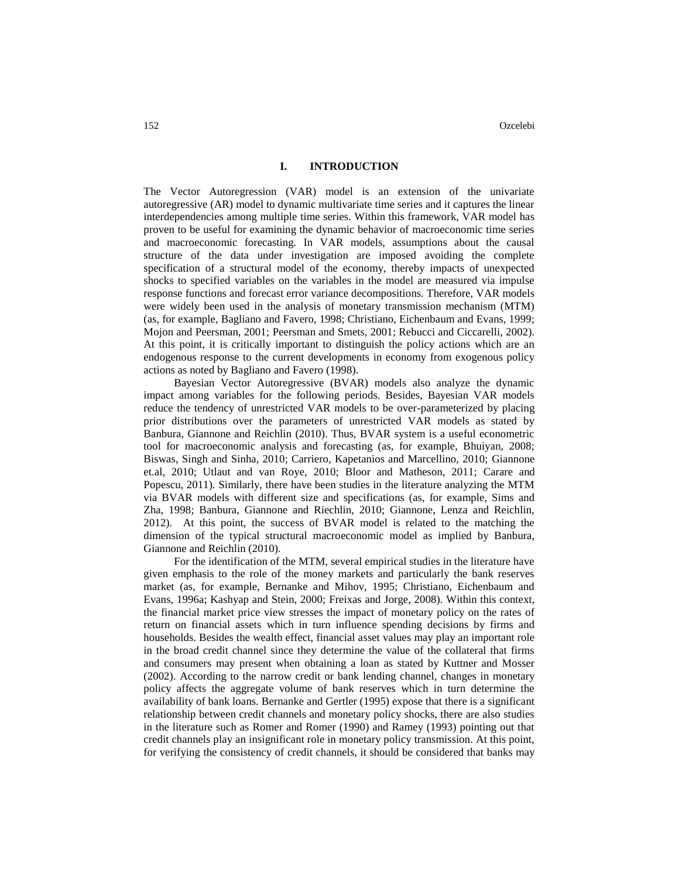#### **I. INTRODUCTION**

The Vector Autoregression (VAR) model is an extension of the univariate autoregressive (AR) model to dynamic multivariate time series and it captures the linear interdependencies among multiple [time series.](http://en.wikipedia.org/wiki/Time_series) Within this framework, VAR model has proven to be useful for examining the dynamic behavior of macroeconomic time series and macroeconomic forecasting. In VAR models, assumptions about the causal structure of the data under investigation are imposed avoiding the complete specification of a structural model of the economy, thereby impacts of unexpected shocks to specified variables on the variables in the model are measured via impulse response functions and forecast error variance decompositions. Therefore, VAR models were widely been used in the analysis of monetary transmission mechanism (MTM) (as, for example, Bagliano and Favero, 1998; Christiano, Eichenbaum and Evans, 1999; Mojon and Peersman, 2001; Peersman and Smets, 2001; Rebucci and Ciccarelli, 2002). At this point, it is critically important to distinguish the policy actions which are an endogenous response to the current developments in economy from exogenous policy actions as noted by Bagliano and Favero (1998).

Bayesian Vector Autoregressive (BVAR) models also analyze the dynamic impact among variables for the following periods. Besides, Bayesian VAR models reduce the tendency of unrestricted VAR models to be over-parameterized by placing prior distributions over the parameters of unrestricted VAR models as stated by Banbura, Giannone and Reichlin (2010). Thus, BVAR system is a useful econometric tool for macroeconomic analysis and forecasting (as, for example, Bhuiyan, 2008; Biswas, Singh and Sinha, 2010; Carriero, Kapetanios and Marcellino, 2010; Giannone et.al, 2010; Utlaut and van Roye, 2010; Bloor and Matheson, 2011; Carare and Popescu, 2011). Similarly, there have been studies in the literature analyzing the MTM via BVAR models with different size and specifications (as, for example, Sims and Zha, 1998; Banbura, Giannone and Riechlin, 2010; Giannone, Lenza and Reichlin, 2012). At this point, the success of BVAR model is related to the matching the dimension of the typical structural macroeconomic model as implied by Banbura, Giannone and Reichlin (2010).

For the identification of the MTM, several empirical studies in the literature have given emphasis to the role of the money markets and particularly the bank reserves market (as, for example, Bernanke and Mihov, 1995; Christiano, Eichenbaum and Evans, 1996a; Kashyap and Stein, 2000; Freixas and Jorge, 2008). Within this context, the financial market price view stresses the impact of monetary policy on the rates of return on financial assets which in turn influence spending decisions by firms and households. Besides the wealth effect, financial asset values may play an important role in the broad credit channel since they determine the value of the collateral that firms and consumers may present when obtaining a loan as stated by Kuttner and Mosser (2002). According to the narrow credit or bank lending channel, changes in monetary policy affects the aggregate volume of bank reserves which in turn determine the availability of bank loans. Bernanke and Gertler (1995) expose that there is a significant relationship between credit channels and monetary policy shocks, there are also studies in the literature such as Romer and Romer (1990) and Ramey (1993) pointing out that credit channels play an insignificant role in monetary policy transmission. At this point, for verifying the consistency of credit channels, it should be considered that banks may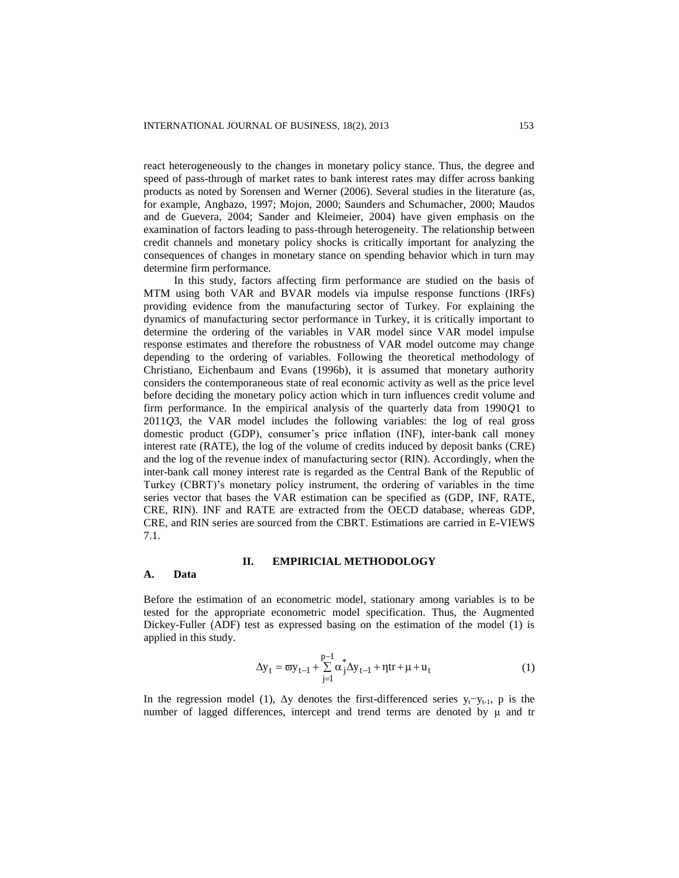react heterogeneously to the changes in monetary policy stance. Thus, the degree and speed of pass-through of market rates to bank interest rates may differ across banking products as noted by Sorensen and Werner (2006). Several studies in the literature (as, for example, Angbazo, 1997; Mojon, 2000; Saunders and Schumacher, 2000; Maudos and de Guevera, 2004; Sander and Kleimeier, 2004) have given emphasis on the examination of factors leading to pass-through heterogeneity. The relationship between credit channels and monetary policy shocks is critically important for analyzing the consequences of changes in monetary stance on spending behavior which in turn may determine firm performance.

In this study, factors affecting firm performance are studied on the basis of MTM using both VAR and BVAR models via impulse response functions (IRFs) providing evidence from the manufacturing sector of Turkey. For explaining the dynamics of manufacturing sector performance in Turkey, it is critically important to determine the ordering of the variables in VAR model since VAR model impulse response estimates and therefore the robustness of VAR model outcome may change depending to the ordering of variables. Following the theoretical methodology of Christiano, Eichenbaum and Evans (1996b), it is assumed that monetary authority considers the contemporaneous state of real economic activity as well as the price level before deciding the monetary policy action which in turn influences credit volume and firm performance. In the empirical analysis of the quarterly data from 1990*Q*1 to 2011*Q*3, the VAR model includes the following variables: the log of real gross domestic product (GDP), consumer's price inflation (INF), inter-bank call money interest rate (RATE), the log of the volume of credits induced by deposit banks (CRE) and the log of the revenue index of manufacturing sector (RIN). Accordingly, when the inter-bank call money interest rate is regarded as the Central Bank of the Republic of Turkey (CBRT)'s monetary policy instrument, the ordering of variables in the time series vector that bases the VAR estimation can be specified as (GDP, INF, RATE, CRE, RIN). INF and RATE are extracted from the OECD database, whereas GDP, CRE, and RIN series are sourced from the CBRT. Estimations are carried in E-VIEWS 7.1.

## **II. EMPIRICIAL METHODOLOGY**

#### **A. Data**

Before the estimation of an econometric model, stationary among variables is to be tested for the appropriate econometric model specification. Thus, the Augmented Dickey-Fuller (ADF) test as expressed basing on the estimation of the model (1) is applied in this study.

$$
\Delta y_{t} = \varpi y_{t-1} + \sum_{j=1}^{p-1} \alpha_{j}^{*} \Delta y_{t-1} + \eta t r + \mu + u_{t}
$$
 (1)

In the regression model (1),  $\Delta y$  denotes the first-differenced series y<sub>t</sub>−y<sub>t-1</sub>, p is the number of lagged differences, intercept and trend terms are denoted by μ and tr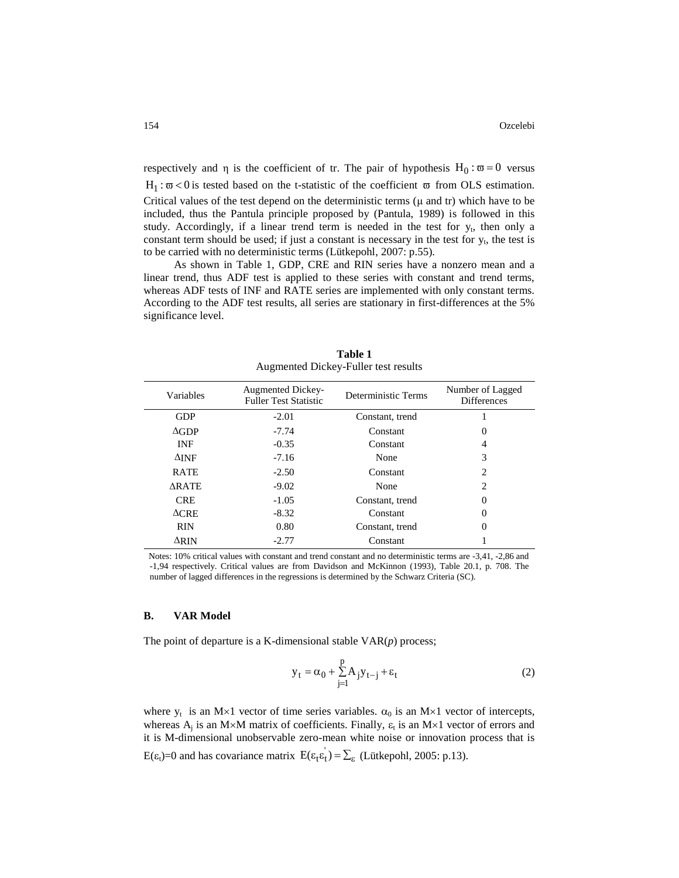respectively and  $\eta$  is the coefficient of tr. The pair of hypothesis  $H_0$ :  $\overline{\omega} = 0$  versus  $H_1 : \varpi < 0$  is tested based on the t-statistic of the coefficient  $\varpi$  from OLS estimation. Critical values of the test depend on the deterministic terms (μ and tr) which have to be included, thus the Pantula principle proposed by (Pantula, 1989) is followed in this study. Accordingly, if a linear trend term is needed in the test for  $y_t$ , then only a constant term should be used; if just a constant is necessary in the test for  $y_t$ , the test is to be carried with no deterministic terms (Lütkepohl, 2007: p.55).

As shown in Table 1, GDP, CRE and RIN series have a nonzero mean and a linear trend, thus ADF test is applied to these series with constant and trend terms, whereas ADF tests of INF and RATE series are implemented with only constant terms. According to the ADF test results, all series are stationary in first-differences at the 5% significance level.

| Variables       | <b>Augmented Dickey-</b><br><b>Fuller Test Statistic</b> | Deterministic Terms | Number of Lagged<br><b>Differences</b> |
|-----------------|----------------------------------------------------------|---------------------|----------------------------------------|
| <b>GDP</b>      | $-2.01$                                                  | Constant, trend     |                                        |
| $\Delta$ GDP    | $-7.74$                                                  | Constant            | 0                                      |
| <b>INF</b>      | $-0.35$                                                  | Constant            | 4                                      |
| $\Delta$ INF    | $-7.16$                                                  | None                | 3                                      |
| <b>RATE</b>     | $-2.50$                                                  | Constant            | 2                                      |
| <b>ARATE</b>    | $-9.02$                                                  | None                | $\mathcal{D}_{\mathcal{L}}$            |
| <b>CRE</b>      | $-1.05$                                                  | Constant, trend     |                                        |
| $\triangle$ CRE | $-8.32$                                                  | Constant            |                                        |
| <b>RIN</b>      | 0.80                                                     | Constant, trend     |                                        |
| $\Delta$ RIN    | $-2.77$                                                  | Constant            |                                        |

**Table 1** Augmented Dickey-Fuller test results

Notes: 10% critical values with constant and trend constant and no deterministic terms are -3,41, -2,86 and -1,94 respectively. Critical values are from Davidson and McKinnon (1993)*,* Table 20.1*,* p*.* 708. The number of lagged differences in the regressions is determined by the Schwarz Criteria (SC).

## **B. VAR Model**

The point of departure is a K-dimensional stable VAR(*p*) process;

$$
y_t = \alpha_0 + \sum_{j=1}^p A_j y_{t-j} + \varepsilon_t
$$
 (2)

where  $y_t$  is an M×1 vector of time series variables.  $\alpha_0$  is an M×1 vector of intercepts, whereas  $A_j$  is an M×M matrix of coefficients. Finally,  $\varepsilon_t$  is an M×1 vector of errors and it is M-dimensional unobservable zero-mean white noise or innovation process that is

 $E(\epsilon_t)=0$  and has covariance matrix  $E(\epsilon_t \epsilon_t) = \sum_{\epsilon}$  (Lütkepohl, 2005: p.13).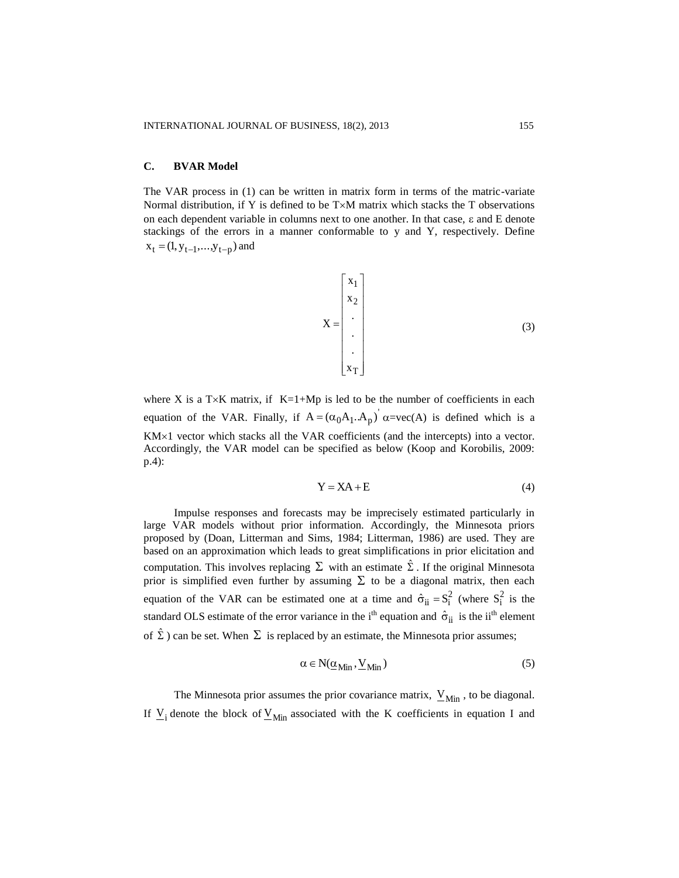### **C. BVAR Model**

The VAR process in (1) can be written in matrix form in terms of the matric-variate Normal distribution, if Y is defined to be  $T\times M$  matrix which stacks the T observations on each dependent variable in columns next to one another. In that case,  $\varepsilon$  and E denote stackings of the errors in a manner conformable to y and Y, respectively. Define  $x_t = (1, y_{t-1},...,y_{t-p})$  and

$$
X = \begin{bmatrix} x_1 \\ x_2 \\ \vdots \\ x_T \end{bmatrix}
$$
 (3)

where X is a T $\times$ K matrix, if K=1+Mp is led to be the number of coefficients in each equation of the VAR. Finally, if  $A = (\alpha_0 A_1 \cdot A_p)^{\dagger} \alpha = vec(A)$  is defined which is a  $KM \times 1$  vector which stacks all the VAR coefficients (and the intercepts) into a vector. Accordingly, the VAR model can be specified as below (Koop and Korobilis, 2009: p.4):

$$
Y = XA + E \tag{4}
$$

Impulse responses and forecasts may be imprecisely estimated particularly in large VAR models without prior information. Accordingly, the Minnesota priors proposed by (Doan, Litterman and Sims, 1984; Litterman, 1986) are used. They are based on an approximation which leads to great simplifications in prior elicitation and computation. This involves replacing  $\Sigma$  with an estimate  $\hat{\Sigma}$ . If the original Minnesota prior is simplified even further by assuming  $\Sigma$  to be a diagonal matrix, then each equation of the VAR can be estimated one at a time and  $\hat{\sigma}_{ii} = S_i^2$  (where  $S_i^2$  is the standard OLS estimate of the error variance in the i<sup>th</sup> equation and  $\hat{\sigma}_{ii}$  is the ii<sup>th</sup> element of  $\hat{\Sigma}$ ) can be set. When  $\Sigma$  is replaced by an estimate, the Minnesota prior assumes;

$$
\alpha \in N(\underline{\alpha}_{\text{Min}}, \underline{V}_{\text{Min}}) \tag{5}
$$

The Minnesota prior assumes the prior covariance matrix,  $V_{\text{Min}}$ , to be diagonal. If  $\underline{V}_i$  denote the block of  $\underline{V}_{Min}$  associated with the K coefficients in equation I and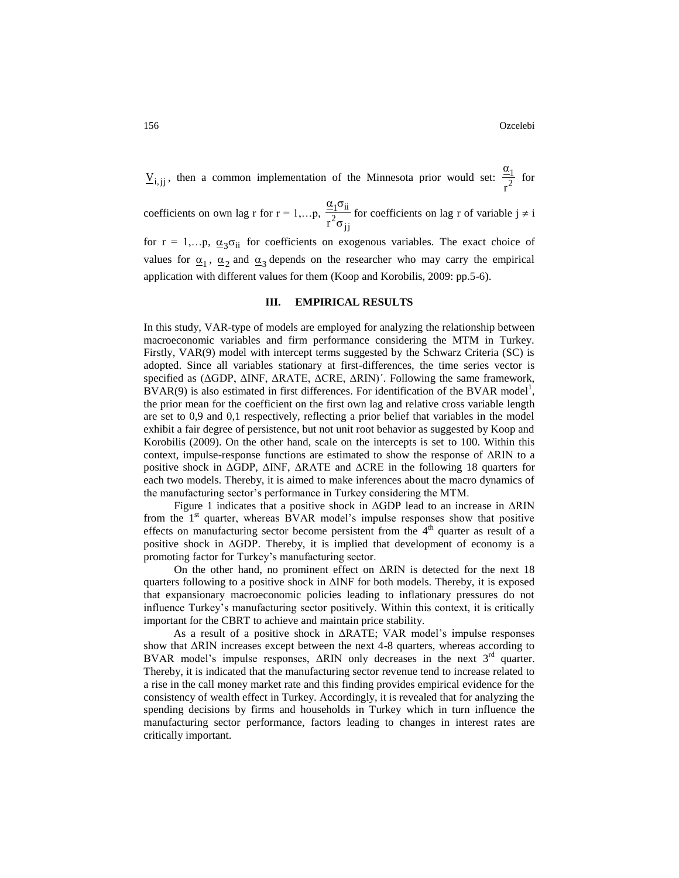$\underline{V}_{i,jj}$ , then a common implementation of the Minnesota prior would set:  $\frac{z_i}{r^2}$ 1 r  $\alpha$ for

coefficients on own lag r for  $r = 1,...p$ ,  $^{2}$ σ $_{jj}$  $1^{\rm O}$ ii  $r^2\sigma$  $α<sub>1</sub>σ$ for coefficients on lag r of variable  $j \neq i$ 

for  $r = 1,...p$ ,  $\underline{\alpha}_3 \sigma_{ii}$  for coefficients on exogenous variables. The exact choice of values for  $\underline{\alpha}_1$ ,  $\underline{\alpha}_2$  and  $\underline{\alpha}_3$  depends on the researcher who may carry the empirical application with different values for them (Koop and Korobilis, 2009: pp.5-6).

## **III. EMPIRICAL RESULTS**

In this study, VAR-type of models are employed for analyzing the relationship between macroeconomic variables and firm performance considering the MTM in Turkey. Firstly, VAR(9) model with intercept terms suggested by the Schwarz Criteria (SC) is adopted. Since all variables stationary at first-differences, the time series vector is specified as (ΔGDP, ΔINF, ΔRATE, ΔCRE, ΔRIN)´. Following the same framework,  $\angle BVAR(9)$  is also estimated in first differences. For identification of the BVAR model<sup>1</sup>, the prior mean for the coefficient on the first own lag and relative cross variable length are set to 0,9 and 0,1 respectively, reflecting a prior belief that variables in the model exhibit a fair degree of persistence, but not unit root behavior as suggested by Koop and Korobilis (2009). On the other hand, scale on the intercepts is set to 100. Within this context, impulse-response functions are estimated to show the response of  $\Delta R$ IN to a positive shock in ΔGDP, ΔINF, ΔRATE and ΔCRE in the following 18 quarters for each two models. Thereby, it is aimed to make inferences about the macro dynamics of the manufacturing sector's performance in Turkey considering the MTM.

Figure 1 indicates that a positive shock in  $\Delta GDP$  lead to an increase in  $\Delta RIN$ from the 1<sup>st</sup> quarter, whereas BVAR model's impulse responses show that positive effects on manufacturing sector become persistent from the  $4<sup>th</sup>$  quarter as result of a positive shock in ΔGDP. Thereby, it is implied that development of economy is a promoting factor for Turkey's manufacturing sector.

On the other hand, no prominent effect on  $\Delta RIN$  is detected for the next 18 quarters following to a positive shock in  $\Delta$ INF for both models. Thereby, it is exposed that expansionary macroeconomic policies leading to inflationary pressures do not influence Turkey's manufacturing sector positively. Within this context, it is critically important for the CBRT to achieve and maintain price stability.

As a result of a positive shock in ΔRATE; VAR model's impulse responses show that ΔRIN increases except between the next 4-8 quarters, whereas according to BVAR model's impulse responses,  $\triangle RIN$  only decreases in the next  $3<sup>rd</sup>$  quarter. Thereby, it is indicated that the manufacturing sector revenue tend to increase related to a rise in the call money market rate and this finding provides empirical evidence for the consistency of wealth effect in Turkey. Accordingly, it is revealed that for analyzing the spending decisions by firms and households in Turkey which in turn influence the manufacturing sector performance, factors leading to changes in interest rates are critically important.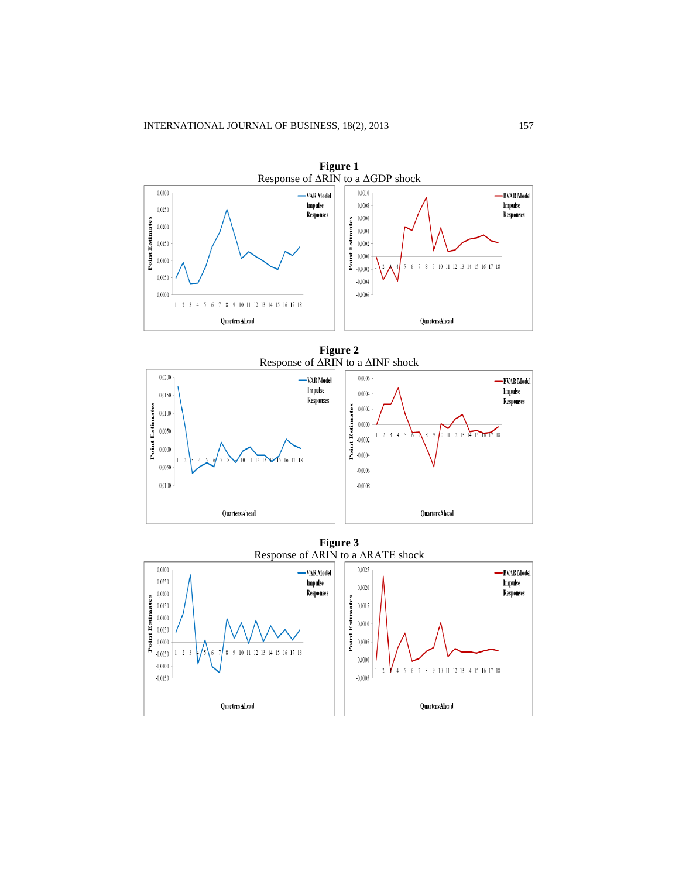

**Figure 2** Response of ΔRIN to a ΔINF shock



**Figure 3** Response of ΔRIN to a ΔRATE shock

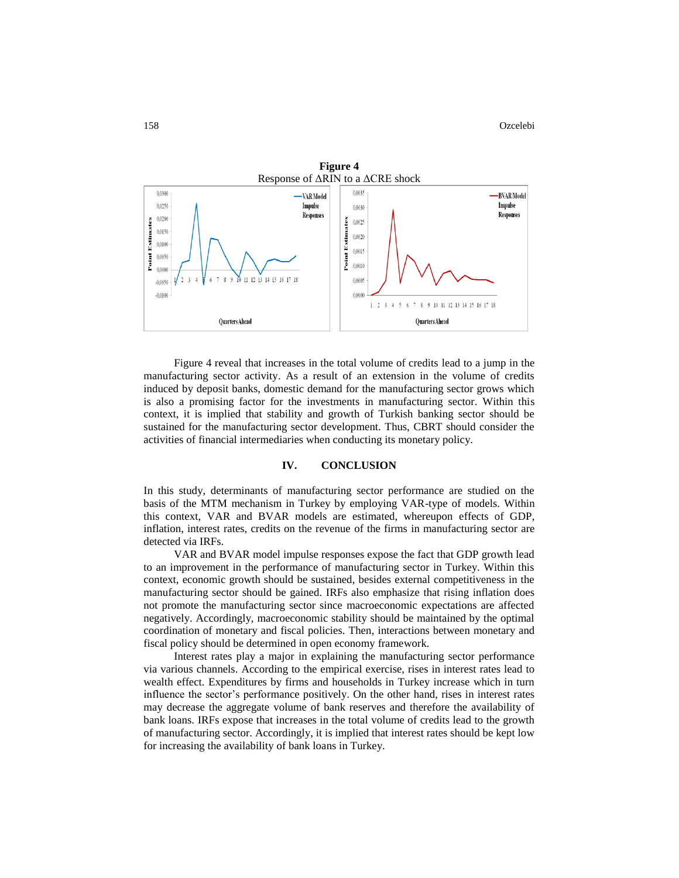

Figure 4 reveal that increases in the total volume of credits lead to a jump in the manufacturing sector activity. As a result of an extension in the volume of credits induced by deposit banks, domestic demand for the manufacturing sector grows which is also a promising factor for the investments in manufacturing sector. Within this context, it is implied that stability and growth of Turkish banking sector should be sustained for the manufacturing sector development. Thus, CBRT should consider the activities of financial intermediaries when conducting its monetary policy.

#### **IV. CONCLUSION**

In this study, determinants of manufacturing sector performance are studied on the basis of the MTM mechanism in Turkey by employing VAR-type of models. Within this context, VAR and BVAR models are estimated, whereupon effects of GDP, inflation, interest rates, credits on the revenue of the firms in manufacturing sector are detected via IRFs.

VAR and BVAR model impulse responses expose the fact that GDP growth lead to an improvement in the performance of manufacturing sector in Turkey. Within this context, economic growth should be sustained, besides external competitiveness in the manufacturing sector should be gained. IRFs also emphasize that rising inflation does not promote the manufacturing sector since macroeconomic expectations are affected negatively. Accordingly, macroeconomic stability should be maintained by the optimal coordination of monetary and fiscal policies. Then, interactions between monetary and fiscal policy should be determined in open economy framework.

Interest rates play a major in explaining the manufacturing sector performance via various channels. According to the empirical exercise, rises in interest rates lead to wealth effect. Expenditures by firms and households in Turkey increase which in turn influence the sector's performance positively. On the other hand, rises in interest rates may decrease the aggregate volume of bank reserves and therefore the availability of bank loans. IRFs expose that increases in the total volume of credits lead to the growth of manufacturing sector. Accordingly, it is implied that interest rates should be kept low for increasing the availability of bank loans in Turkey.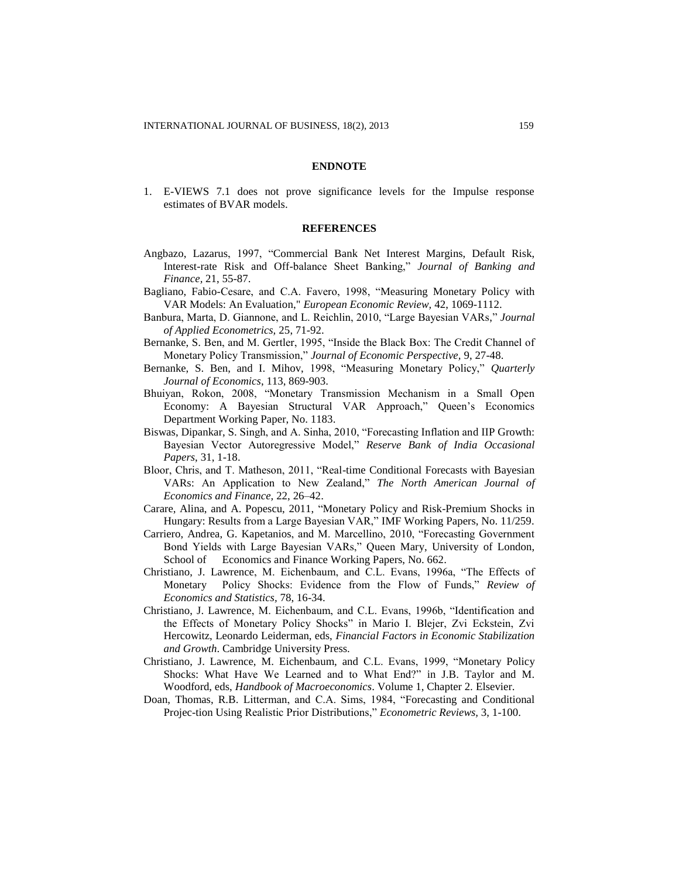#### **ENDNOTE**

1. E-VIEWS 7.1 does not prove significance levels for the Impulse response estimates of BVAR models.

## **REFERENCES**

- Angbazo, Lazarus, 1997, "Commercial Bank Net Interest Margins, Default Risk, Interest-rate Risk and Off-balance Sheet Banking," *Journal of Banking and Finance,* 21, 55-87.
- Bagliano, Fabio-Cesare, and C.A. Favero, 1998, "Measuring Monetary Policy with VAR [Models: An Evaluation,](http://ideas.repec.org/a/eee/eecrev/v42y1998i6p1069-1112.html)" *European Economic Review,* 42, 1069-1112.
- Banbura, Marta, D. Giannone, and L. Reichlin, 2010, "Large Bayesian VARs," *Journal of Applied Econometrics,* 25, 71-92.
- Bernanke, S. Ben, and M. Gertler, 1995, "Inside the Black Box: The Credit Channel of Monetary Policy Transmission," *Journal of Economic Perspective,* 9, 27-48.
- Bernanke, S. Ben, and I. Mihov, 1998, "Measuring Monetary Policy," *Quarterly Journal of Economics*, 113, 869-903.
- Bhuiyan, Rokon, 2008, "Monetary Transmission Mechanism in a Small Open Economy: A Bayesian Structural VAR Approach," Queen's Economics Department Working Paper, No. 1183.
- Biswas, Dipankar, S. Singh, and A. Sinha, 2010, "Forecasting Inflation and IIP Growth: Bayesian Vector Autoregressive Model," *Reserve Bank of India Occasional Papers*, 31, 1-18.
- Bloor, Chris, and T. Matheson, 2011, "Real-time Conditional Forecasts with Bayesian VARs: An Application to New Zealand," *The North American Journal of Economics and Finance,* [22, 2](http://www.sciencedirect.com/science/journal/10629408/22/1)6–42.
- Carare, Alina, and A. Popescu, 2011, "Monetary Policy and Risk-Premium Shocks in Hungary: Results from a Large Bayesian VAR," IMF Working Papers, No. 11/259.
- Carriero, Andrea, G. [Kapetanios,](http://www.econ.qmul.ac.uk/people/george-kapetanios) and M. Marcellino, 2010, "Forecasting Government Bond Yields with Large Bayesian VARs," Queen Mary, University of London, School of Economics and Finance Working Papers, No. 662.
- Christiano, J. Lawrence, M. Eichenbaum, and C.L. Evans, 1996a, "The Effects of Monetary Policy Shocks: Evidence from the Flow of Funds," *Review of Economics and Statistics,* 78, 16-34.
- Christiano, J. Lawrence, M. Eichenbaum, and C.L. Evans, 1996b, "Identification and the Effects of Monetary Policy Shocks" in Mario I. Blejer, Zvi Eckstein, Zvi Hercowitz, Leonardo Leiderman, eds, *Financial Factors in Economic Stabilization and Growth*. Cambridge University Press.
- Christiano, J. Lawrence, M. Eichenbaum, and C.L. Evans, 1999, "Monetary Policy Shocks: What Have We Learned and to What End?" in J.B. Taylor and M. Woodford, eds, *Handbook of Macroeconomics*. Volume 1, Chapter 2*.* Elsevier.
- Doan, Thomas, R.B. Litterman, and C.A. Sims, 1984, "Forecasting and Conditional Projec-tion Using Realistic Prior Distributions," *Econometric Reviews,* 3, 1-100.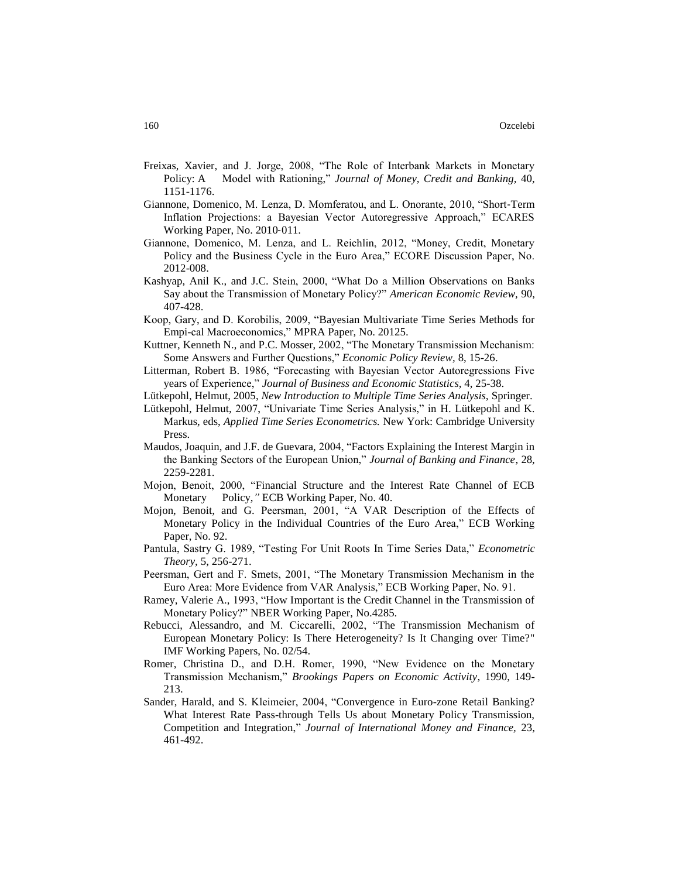- Freixas, Xavier, and J. Jorge, 2008, "The Role of Interbank Markets in Monetary Policy: A Model with Rationing," *Journal of Money, Credit and Banking,* 40, 1151-1176.
- Giannone, Domenico, M. Lenza, D. Momferatou, and L. Onorante, 2010, "Short‐Term Inflation Projections: a Bayesian Vector Autoregressive Approach," ECARES Working Paper, No. 2010‐011.
- Giannone, Domenico, M. Lenza, and L. Reichlin, 2012, "Money, Credit, Monetary Policy and the Business Cycle in the Euro Area," ECORE Discussion Paper, No. 2012-008.
- Kashyap, Anil K., and J.C. Stein, 2000, "What Do a Million Observations on Banks Say about the Transmission of Monetary Policy?" *American Economic Review,* 90, 407-428.
- Koop, Gary, and D. Korobilis, 2009, "Bayesian Multivariate Time Series Methods for Empi-cal Macroeconomics," MPRA Paper, No. 20125.
- Kuttner, Kenneth N., and P.C. Mosser, 2002, "The Monetary Transmission Mechanism: Some Answers and Further Questions," *Economic Policy Review,* 8, 15-26.
- Litterman, Robert B. 1986, "Forecasting with Bayesian Vector Autoregressions Five years of Experience," *Journal of Business and Economic Statistics,* 4, 25-38.
- Lütkepohl, Helmut, 2005, *New Introduction to Multiple Time Series Analysis,* Springer.
- Lütkepohl, Helmut, 2007, "Univariate Time Series Analysis," in H. Lütkepohl and K. Markus, eds, *Applied Time Series Econometrics.* New York: Cambridge University Press.
- Maudos, Joaquin, and J.F. de Guevara, 2004, "Factors Explaining the Interest Margin in the Banking Sectors of the European Union," *Journal of Banking and Finance*, 28, 2259-2281.
- Mojon, Benoit, 2000, "Financial Structure and the Interest Rate Channel of ECB Monetary Policy,*"* ECB Working Paper, No. 40.
- Mojon, Benoit, and G. Peersman, 2001, "A VAR Description of the Effects of Monetary Policy in the Individual Countries of the Euro Area," ECB Working Paper, No. 92.
- Pantula, Sastry G. 1989, "Testing For Unit Roots In Time Series Data," *Econometric Theory,* 5, 256-271.
- Peersman, Gert and F. Smets, 2001, "The Monetary Transmission Mechanism in the Euro Area: More Evidence from VAR Analysis," ECB Working Paper, No. 91.
- Ramey, Valerie A., 1993, "How Important is the Credit Channel in the Transmission of Monetary Policy?" NBER Working Paper, No.4285.
- Rebucci, Alessandro, and M. Ciccarelli, 2002, "The Transmission Mechanism of European Monetary Policy: Is There Heterogeneity? Is It Changing over Time?" IMF Working Papers, No. 02/54.
- Romer, Christina D., and D.H. Romer, 1990, "New Evidence on the Monetary Transmission Mechanism," *Brookings Papers on Economic Activity*, 1990, 149- 213.
- Sander, Harald, and S. Kleimeier, 2004, "Convergence in Euro-zone Retail Banking? What Interest Rate Pass-through Tells Us about Monetary Policy Transmission, Competition and Integration," *Journal of International Money and Finance,* 23, 461-492.